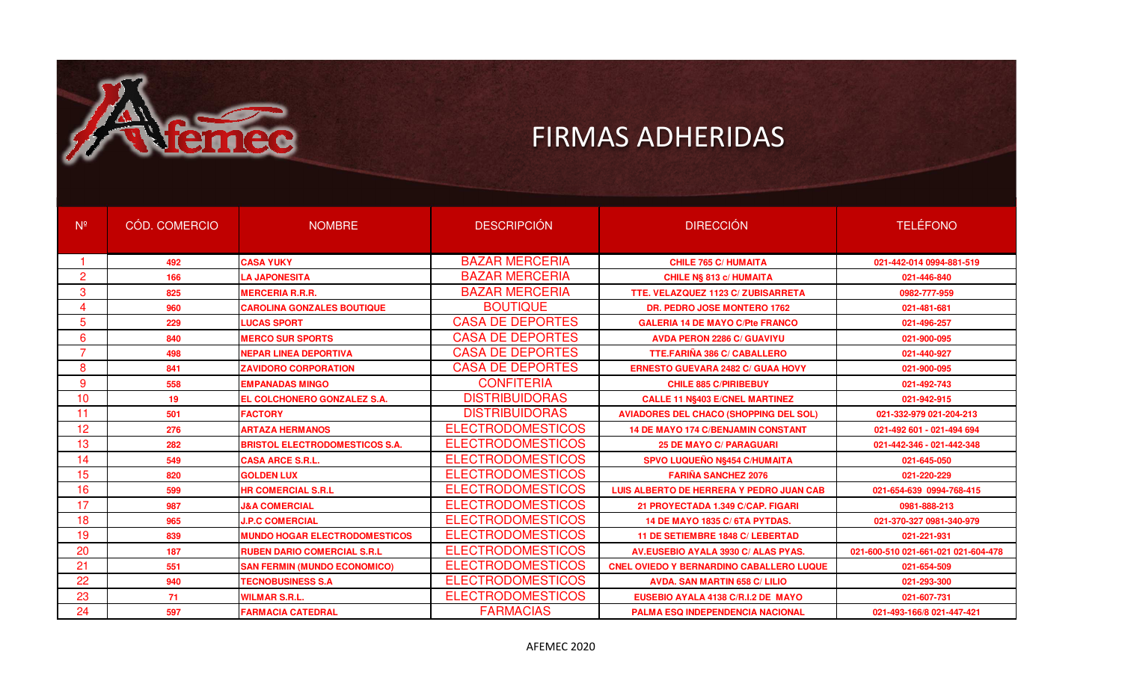

| N <sup>o</sup> | CÓD. COMERCIO | <b>NOMBRE</b>                         | <b>DESCRIPCIÓN</b>       | <b>DIRECCIÓN</b>                                | <b>TELÉFONO</b>                     |
|----------------|---------------|---------------------------------------|--------------------------|-------------------------------------------------|-------------------------------------|
|                | 492           | <b>CASA YUKY</b>                      | <b>BAZAR MERCERIA</b>    | <b>CHILE 765 C/ HUMAITA</b>                     | 021-442-014 0994-881-519            |
| $\overline{2}$ | 166           | <b>LA JAPONESITA</b>                  | <b>BAZAR MERCERIA</b>    | <b>CHILE N§ 813 c/ HUMAITA</b>                  | 021-446-840                         |
| 3              | 825           | <b>MERCERIA R.R.R.</b>                | <b>BAZAR MERCERIA</b>    | TTE. VELAZQUEZ 1123 C/ ZUBISARRETA              | 0982-777-959                        |
| 4              | 960           | <b>CAROLINA GONZALES BOUTIQUE</b>     | <b>BOUTIQUE</b>          | <b>DR. PEDRO JOSE MONTERO 1762</b>              | 021-481-681                         |
| 5              | 229           | <b>LUCAS SPORT</b>                    | <b>CASA DE DEPORTES</b>  | <b>GALERIA 14 DE MAYO C/Pte FRANCO</b>          | 021-496-257                         |
| 6              | 840           | <b>MERCO SUR SPORTS</b>               | <b>CASA DE DEPORTES</b>  | <b>AVDA PERON 2286 C/ GUAVIYU</b>               | 021-900-095                         |
| $\overline{7}$ | 498           | <b>NEPAR LINEA DEPORTIVA</b>          | <b>CASA DE DEPORTES</b>  | <b>TTE.FARIÑA 386 C/ CABALLERO</b>              | 021-440-927                         |
| 8              | 841           | <b>ZAVIDORO CORPORATION</b>           | <b>CASA DE DEPORTES</b>  | <b>ERNESTO GUEVARA 2482 C/ GUAA HOVY</b>        | 021-900-095                         |
| 9              | 558           | <b>EMPANADAS MINGO</b>                | <b>CONFITERIA</b>        | <b>CHILE 885 C/PIRIBEBUY</b>                    | 021-492-743                         |
| 10             | 19            | EL COLCHONERO GONZALEZ S.A.           | <b>DISTRIBUIDORAS</b>    | <b>CALLE 11 N§403 E/CNEL MARTINEZ</b>           | 021-942-915                         |
| 11             | 501           | <b>FACTORY</b>                        | <b>DISTRIBUIDORAS</b>    | <b>AVIADORES DEL CHACO (SHOPPING DEL SOL)</b>   | 021-332-979 021-204-213             |
| 12             | 276           | <b>ARTAZA HERMANOS</b>                | <b>ELECTRODOMESTICOS</b> | <b>14 DE MAYO 174 C/BENJAMIN CONSTANT</b>       | 021-492 601 - 021-494 694           |
| 13             | 282           | <b>BRISTOL ELECTRODOMESTICOS S.A.</b> | <b>ELECTRODOMESTICOS</b> | <b>25 DE MAYO C/ PARAGUARI</b>                  | 021-442-346 - 021-442-348           |
| 14             | 549           | <b>CASA ARCE S.R.L.</b>               | <b>ELECTRODOMESTICOS</b> | SPVO LUQUEÑO N§454 C/HUMAITA                    | 021-645-050                         |
| 15             | 820           | <b>GOLDEN LUX</b>                     | <b>ELECTRODOMESTICOS</b> | <b>FARIÑA SANCHEZ 2076</b>                      | 021-220-229                         |
| 16             | 599           | <b>HR COMERCIAL S.R.L</b>             | <b>ELECTRODOMESTICOS</b> | LUIS ALBERTO DE HERRERA Y PEDRO JUAN CAB        | 021-654-639 0994-768-415            |
| 17             | 987           | <b>J&amp;A COMERCIAL</b>              | <b>ELECTRODOMESTICOS</b> | 21 PROYECTADA 1.349 C/CAP. FIGARI               | 0981-888-213                        |
| 18             | 965           | <b>J.P.C COMERCIAL</b>                | <b>ELECTRODOMESTICOS</b> | <b>14 DE MAYO 1835 C/ 6TA PYTDAS.</b>           | 021-370-327 0981-340-979            |
| 19             | 839           | <b>MUNDO HOGAR ELECTRODOMESTICOS</b>  | <b>ELECTRODOMESTICOS</b> | 11 DE SETIEMBRE 1848 C/ LEBERTAD                | 021-221-931                         |
| 20             | 187           | <b>RUBEN DARIO COMERCIAL S.R.L</b>    | <b>ELECTRODOMESTICOS</b> | AV.EUSEBIO AYALA 3930 C/ ALAS PYAS.             | 021-600-510 021-661-021 021-604-478 |
| 21             | 551           | <b>SAN FERMIN (MUNDO ECONOMICO)</b>   | <b>ELECTRODOMESTICOS</b> | <b>CNEL OVIEDO Y BERNARDINO CABALLERO LUQUE</b> | 021-654-509                         |
| 22             | 940           | <b>TECNOBUSINESS S.A</b>              | <b>ELECTRODOMESTICOS</b> | <b>AVDA, SAN MARTIN 658 C/ LILIO</b>            | 021-293-300                         |
| 23             | 71            | <b>WILMAR S.R.L.</b>                  | <b>ELECTRODOMESTICOS</b> | EUSEBIO AYALA 4138 C/R.I.2 DE MAYO              | 021-607-731                         |
| 24             | 597           | <b>FARMACIA CATEDRAL</b>              | <b>FARMACIAS</b>         | <b>PALMA ESQ INDEPENDENCIA NACIONAL</b>         | 021-493-166/8 021-447-421           |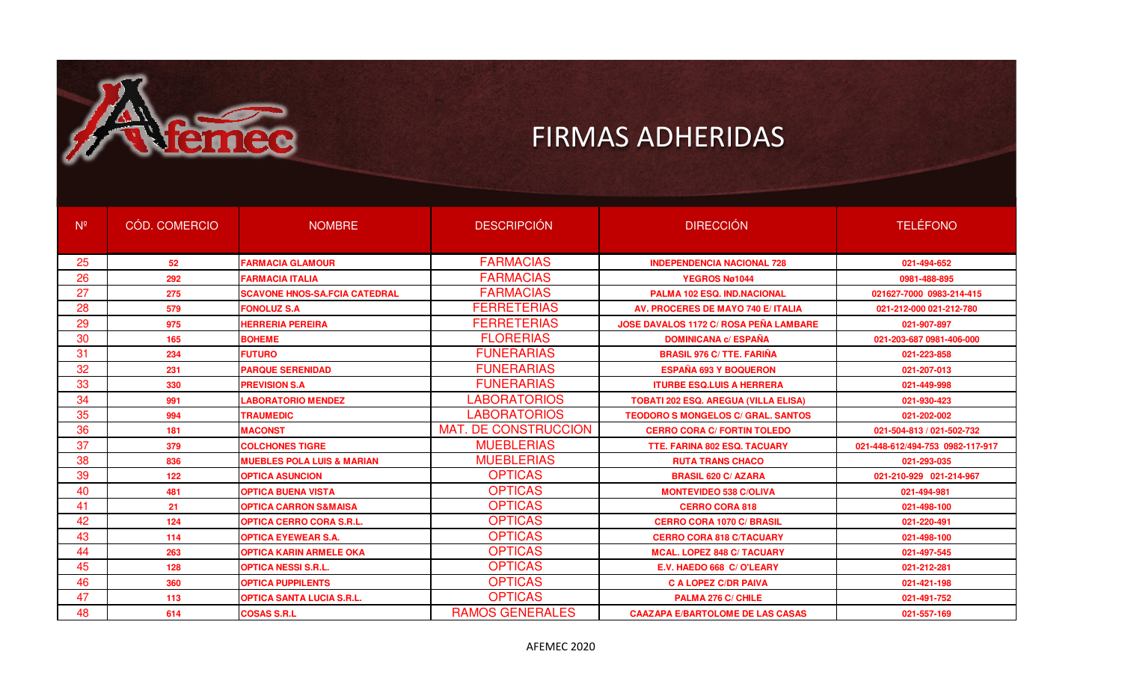

| $N^{\circ}$ | CÓD. COMERCIO | <b>NOMBRE</b>                         | <b>DESCRIPCIÓN</b>          | <b>DIRECCIÓN</b>                              | <b>TELÉFONO</b>                  |
|-------------|---------------|---------------------------------------|-----------------------------|-----------------------------------------------|----------------------------------|
|             |               |                                       |                             |                                               |                                  |
| 25          | 52            | <b>FARMACIA GLAMOUR</b>               | <b>FARMACIAS</b>            | <b>INDEPENDENCIA NACIONAL 728</b>             | 021-494-652                      |
| 26          | 292           | <b>FARMACIA ITALIA</b>                | <b>FARMACIAS</b>            | YEGROS Nø1044                                 | 0981-488-895                     |
| 27          | 275           | <b>SCAVONE HNOS-SA.FCIA CATEDRAL</b>  | <b>FARMACIAS</b>            | <b>PALMA 102 ESQ. IND.NACIONAL</b>            | 021627-7000 0983-214-415         |
| 28          | 579           | <b>FONOLUZ S.A</b>                    | <b>FERRETERIAS</b>          | AV. PROCERES DE MAYO 740 E/ ITALIA            | 021-212-000 021-212-780          |
| 29          | 975           | <b>HERRERIA PEREIRA</b>               | <b>FERRETERIAS</b>          | <b>JOSE DAVALOS 1172 C/ ROSA PEÑA LAMBARE</b> | 021-907-897                      |
| 30          | 165           | <b>BOHEME</b>                         | <b>FLORERIAS</b>            | <b>DOMINICANA c/ ESPAÑA</b>                   | 021-203-687 0981-406-000         |
| 31          | 234           | <b>FUTURO</b>                         | <b>FUNERARIAS</b>           | <b>BRASIL 976 C/ TTE, FARIÑA</b>              | 021-223-858                      |
| 32          | 231           | <b>PARQUE SERENIDAD</b>               | <b>FUNERARIAS</b>           | <b>ESPAÑA 693 Y BOQUERON</b>                  | 021-207-013                      |
| 33          | 330           | <b>PREVISION S.A</b>                  | <b>FUNERARIAS</b>           | <b>ITURBE ESQ.LUIS A HERRERA</b>              | 021-449-998                      |
| 34          | 991           | <b>LABORATORIO MENDEZ</b>             | <b>LABORATORIOS</b>         | <b>TOBATI 202 ESQ. AREGUA (VILLA ELISA)</b>   | 021-930-423                      |
| 35          | 994           | <b>TRAUMEDIC</b>                      | <b>LABORATORIOS</b>         | <b>TEODORO S MONGELOS C/ GRAL, SANTOS</b>     | 021-202-002                      |
| 36          | 181           | <b>MACONST</b>                        | <b>MAT. DE CONSTRUCCION</b> | <b>CERRO CORA C/ FORTIN TOLEDO</b>            | 021-504-813 / 021-502-732        |
| 37          | 379           | <b>COLCHONES TIGRE</b>                | <b>MUEBLERIAS</b>           | <b>TTE, FARINA 802 ESQ, TACUARY</b>           | 021-448-612/494-753 0982-117-917 |
| 38          | 836           | <b>MUEBLES POLA LUIS &amp; MARIAN</b> | <b>MUEBLERIAS</b>           | <b>RUTA TRANS CHACO</b>                       | 021-293-035                      |
| 39          | 122           | <b>OPTICA ASUNCION</b>                | <b>OPTICAS</b>              | <b>BRASIL 620 C/ AZARA</b>                    | 021-210-929 021-214-967          |
| 40          | 481           | <b>OPTICA BUENA VISTA</b>             | <b>OPTICAS</b>              | <b>MONTEVIDEO 538 C/OLIVA</b>                 | 021-494-981                      |
| 41          | 21            | <b>OPTICA CARRON S&amp;MAISA</b>      | <b>OPTICAS</b>              | <b>CERRO CORA 818</b>                         | 021-498-100                      |
| 42          | 124           | <b>OPTICA CERRO CORA S.R.L.</b>       | <b>OPTICAS</b>              | <b>CERRO CORA 1070 C/ BRASIL</b>              | 021-220-491                      |
| 43          | 114           | <b>OPTICA EYEWEAR S.A.</b>            | <b>OPTICAS</b>              | <b>CERRO CORA 818 C/TACUARY</b>               | 021-498-100                      |
| 44          | 263           | <b>OPTICA KARIN ARMELE OKA</b>        | <b>OPTICAS</b>              | <b>MCAL. LOPEZ 848 C/ TACUARY</b>             | 021-497-545                      |
| 45          | 128           | <b>OPTICA NESSI S.R.L.</b>            | <b>OPTICAS</b>              | E.V. HAEDO 668 C/O'LEARY                      | 021-212-281                      |
| 46          | 360           | <b>OPTICA PUPPILENTS</b>              | <b>OPTICAS</b>              | C A LOPEZ C/DR PAIVA                          | 021-421-198                      |
| 47          | 113           | <b>OPTICA SANTA LUCIA S.R.L.</b>      | <b>OPTICAS</b>              | PALMA 276 C/ CHILE                            | 021-491-752                      |
| 48          | 614           | <b>COSAS S.R.L</b>                    | <b>RAMOS GENERALES</b>      | <b>CAAZAPA E/BARTOLOME DE LAS CASAS</b>       | 021-557-169                      |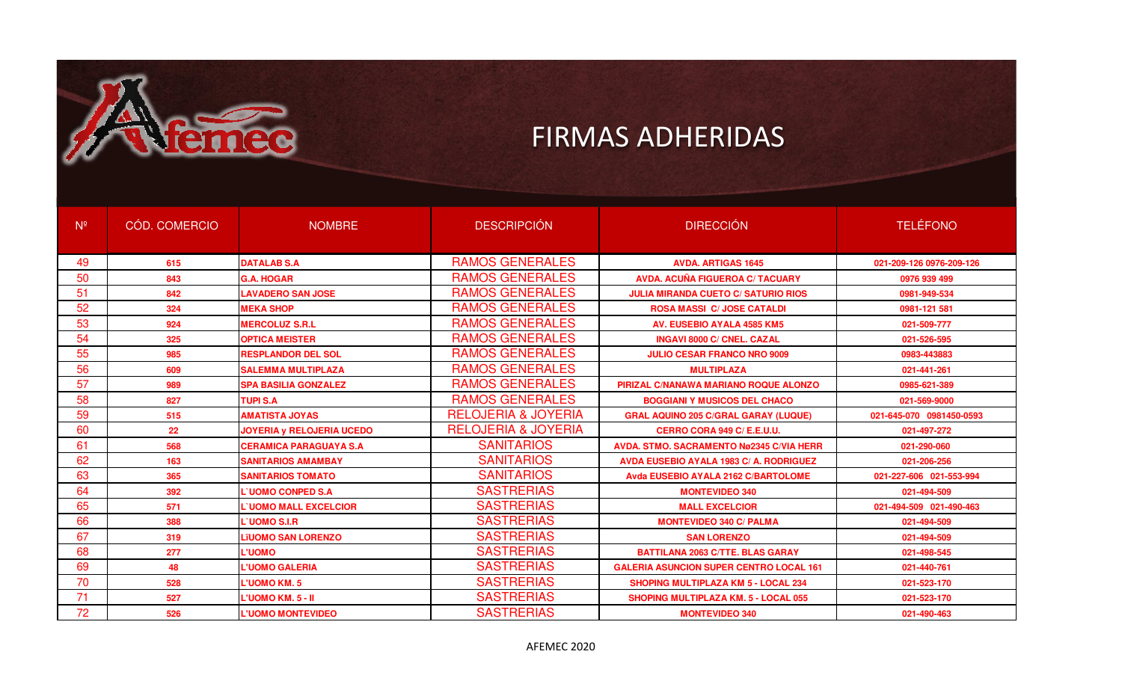

| N <sup>o</sup> | CÓD. COMERCIO | <b>NOMBRE</b>                    | <b>DESCRIPCIÓN</b>             | <b>DIRECCIÓN</b>                               | <b>TELÉFONO</b>          |
|----------------|---------------|----------------------------------|--------------------------------|------------------------------------------------|--------------------------|
| 49             | 615           | <b>DATALAB S.A</b>               | <b>RAMOS GENERALES</b>         | <b>AVDA, ARTIGAS 1645</b>                      | 021-209-126 0976-209-126 |
| 50             | 843           | <b>G.A. HOGAR</b>                | <b>RAMOS GENERALES</b>         | <b>AVDA, ACUÑA FIGUEROA C/ TACUARY</b>         | 0976 939 499             |
| 51             | 842           | <b>LAVADERO SAN JOSE</b>         | <b>RAMOS GENERALES</b>         | <b>JULIA MIRANDA CUETO C/ SATURIO RIOS</b>     | 0981-949-534             |
| 52             | 324           | <b>MEKA SHOP</b>                 | <b>RAMOS GENERALES</b>         | <b>ROSA MASSI C/JOSE CATALDI</b>               | 0981-121 581             |
| 53             | 924           | <b>MERCOLUZ S.R.L</b>            | <b>RAMOS GENERALES</b>         | <b>AV. EUSEBIO AYALA 4585 KM5</b>              | 021-509-777              |
| 54             | 325           | <b>OPTICA MEISTER</b>            | <b>RAMOS GENERALES</b>         | <b>INGAVI 8000 C/ CNEL, CAZAL</b>              | 021-526-595              |
| 55             | 985           | <b>RESPLANDOR DEL SOL</b>        | <b>RAMOS GENERALES</b>         | <b>JULIO CESAR FRANCO NRO 9009</b>             | 0983-443883              |
| 56             | 609           | <b>SALEMMA MULTIPLAZA</b>        | <b>RAMOS GENERALES</b>         | <b>MULTIPLAZA</b>                              | 021-441-261              |
| 57             | 989           | <b>SPA BASILIA GONZALEZ</b>      | <b>RAMOS GENERALES</b>         | PIRIZAL C/NANAWA MARIANO ROQUE ALONZO          | 0985-621-389             |
| 58             | 827           | <b>TUPI S.A</b>                  | <b>RAMOS GENERALES</b>         | <b>BOGGIANI Y MUSICOS DEL CHACO</b>            | 021-569-9000             |
| 59             | 515           | <b>AMATISTA JOYAS</b>            | <b>RELOJERIA &amp; JOYERIA</b> | <b>GRAL AQUINO 205 C/GRAL GARAY (LUQUE)</b>    | 021-645-070 0981450-0593 |
| 60             | 22            | <b>JOYERIA y RELOJERIA UCEDO</b> | <b>RELOJERIA &amp; JOYERIA</b> | CERRO CORA 949 C/ E.E.U.U.                     | 021-497-272              |
| 61             | 568           | <b>CERAMICA PARAGUAYA S.A</b>    | <b>SANITARIOS</b>              | AVDA, STMO, SACRAMENTO Nø2345 C/VIA HERR       | 021-290-060              |
| 62             | 163           | <b>SANITARIOS AMAMBAY</b>        | <b>SANITARIOS</b>              | <b>AVDA EUSEBIO AYALA 1983 C/ A. RODRIGUEZ</b> | 021-206-256              |
| 63             | 365           | <b>SANITARIOS TOMATO</b>         | <b>SANITARIOS</b>              | Avda EUSEBIO AYALA 2162 C/BARTOLOME            | 021-227-606 021-553-994  |
| 64             | 392           | <b>L'UOMO CONPED S.A</b>         | <b>SASTRERIAS</b>              | <b>MONTEVIDEO 340</b>                          | 021-494-509              |
| 65             | 571           | <b>L'UOMO MALL EXCELCIOR</b>     | <b>SASTRERIAS</b>              | <b>MALL EXCELCIOR</b>                          | 021-494-509 021-490-463  |
| 66             | 388           | L'UOMO S.I.R                     | <b>SASTRERIAS</b>              | <b>MONTEVIDEO 340 C/ PALMA</b>                 | 021-494-509              |
| 67             | 319           | <b>LïUOMO SAN LORENZO</b>        | <b>SASTRERIAS</b>              | <b>SAN LORENZO</b>                             | 021-494-509              |
| 68             | 277           | <b>L'UOMO</b>                    | <b>SASTRERIAS</b>              | <b>BATTILANA 2063 C/TTE, BLAS GARAY</b>        | 021-498-545              |
| 69             | 48            | <b>L'UOMO GALERIA</b>            | <b>SASTRERIAS</b>              | <b>GALERIA ASUNCION SUPER CENTRO LOCAL 161</b> | 021-440-761              |
| 70             | 528           | L'UOMO KM. 5                     | <b>SASTRERIAS</b>              | <b>SHOPING MULTIPLAZA KM 5 - LOCAL 234</b>     | 021-523-170              |
| 71             | 527           | L'UOMO KM. 5 - II                | <b>SASTRERIAS</b>              | <b>SHOPING MULTIPLAZA KM. 5 - LOCAL 055</b>    | 021-523-170              |
| 72             | 526           | <b>L'UOMO MONTEVIDEO</b>         | <b>SASTRERIAS</b>              | <b>MONTEVIDEO 340</b>                          | 021-490-463              |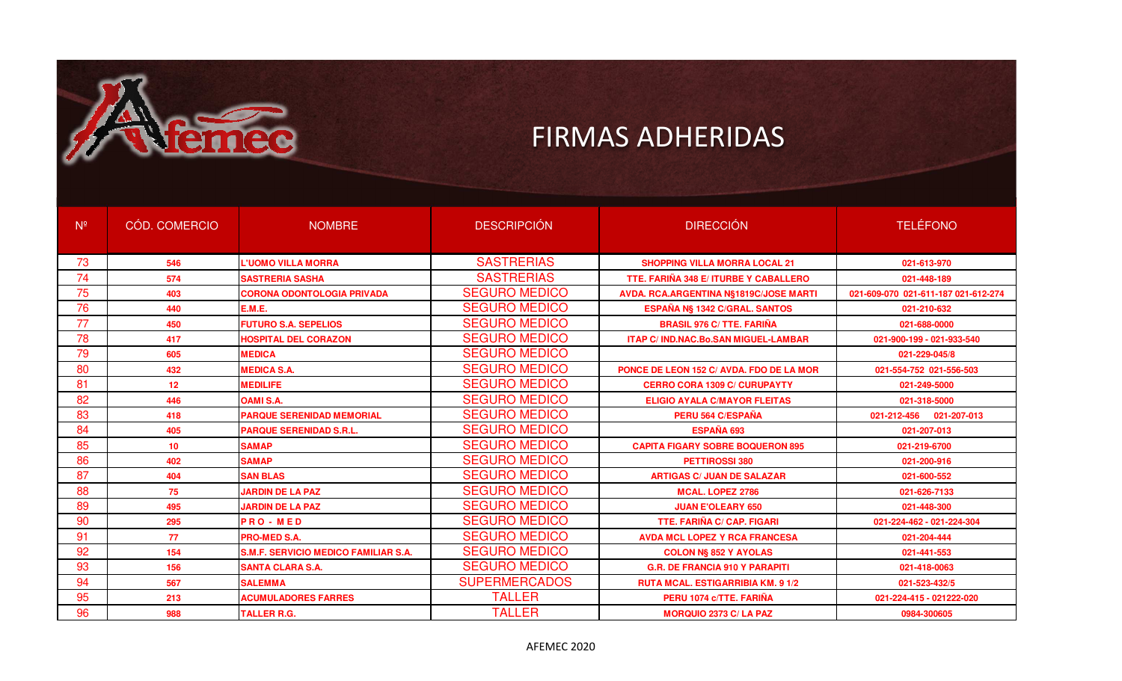

| N <sup>o</sup> | CÓD. COMERCIO   | <b>NOMBRE</b>                               | <b>DESCRIPCIÓN</b>   | <b>DIRECCIÓN</b>                           | <b>TELÉFONO</b>                     |
|----------------|-----------------|---------------------------------------------|----------------------|--------------------------------------------|-------------------------------------|
| 73             | 546             | L'UOMO VILLA MORRA                          | <b>SASTRERIAS</b>    | <b>SHOPPING VILLA MORRA LOCAL 21</b>       | 021-613-970                         |
| 74             | 574             | <b>SASTRERIA SASHA</b>                      | <b>SASTRERIAS</b>    | TTE, FARIÑA 348 E/ ITURBE Y CABALLERO      | 021-448-189                         |
| 75             | 403             | <b>CORONA ODONTOLOGIA PRIVADA</b>           | <b>SEGURO MEDICO</b> | AVDA. RCA.ARGENTINA N§1819C/JOSE MARTI     | 021-609-070 021-611-187 021-612-274 |
| 76             | 440             | E.M.E.                                      | <b>SEGURO MEDICO</b> | ESPAÑA NS 1342 C/GRAL. SANTOS              | 021-210-632                         |
| 77             | 450             | <b>FUTURO S.A. SEPELIOS</b>                 | <b>SEGURO MEDICO</b> | <b>BRASIL 976 C/ TTE. FARIÑA</b>           | 021-688-0000                        |
| 78             | 417             | <b>HOSPITAL DEL CORAZON</b>                 | <b>SEGURO MEDICO</b> | <b>ITAP C/IND.NAC.Bo.SAN MIGUEL-LAMBAR</b> | 021-900-199 - 021-933-540           |
| 79             | 605             | <b>MEDICA</b>                               | <b>SEGURO MEDICO</b> |                                            | 021-229-045/8                       |
| 80             | 432             | <b>MEDICA S.A.</b>                          | <b>SEGURO MEDICO</b> | PONCE DE LEON 152 C/ AVDA. FDO DE LA MOR   | 021-554-752 021-556-503             |
| 81             | 12 <sup>2</sup> | <b>MEDILIFE</b>                             | <b>SEGURO MEDICO</b> | <b>CERRO CORA 1309 C/ CURUPAYTY</b>        | 021-249-5000                        |
| 82             | 446             | <b>OAMI S.A.</b>                            | <b>SEGURO MEDICO</b> | <b>ELIGIO AYALA C/MAYOR FLEITAS</b>        | 021-318-5000                        |
| 83             | 418             | <b>PARQUE SERENIDAD MEMORIAL</b>            | <b>SEGURO MEDICO</b> | PERU 564 C/ESPAÑA                          | 021-212-456<br>021-207-013          |
| 84             | 405             | <b>PARQUE SERENIDAD S.R.L.</b>              | <b>SEGURO MEDICO</b> | ESPAÑA 693                                 | 021-207-013                         |
| 85             | 10              | <b>SAMAP</b>                                | <b>SEGURO MEDICO</b> | <b>CAPITA FIGARY SOBRE BOQUERON 895</b>    | 021-219-6700                        |
| 86             | 402             | <b>SAMAP</b>                                | <b>SEGURO MEDICO</b> | PETTIROSSI 380                             | 021-200-916                         |
| 87             | 404             | <b>SAN BLAS</b>                             | <b>SEGURO MEDICO</b> | <b>ARTIGAS C/ JUAN DE SALAZAR</b>          | 021-600-552                         |
| 88             | 75              | <b>JARDIN DE LA PAZ</b>                     | <b>SEGURO MEDICO</b> | <b>MCAL. LOPEZ 2786</b>                    | 021-626-7133                        |
| 89             | 495             | <b>JARDIN DE LA PAZ</b>                     | <b>SEGURO MEDICO</b> | <b>JUAN E'OLEARY 650</b>                   | 021-448-300                         |
| 90             | 295             | <b>PRO-MED</b>                              | <b>SEGURO MEDICO</b> | <b>TTE, FARIÑA C/ CAP, FIGARI</b>          | 021-224-462 - 021-224-304           |
| 91             | 77              | <b>PRO-MED S.A.</b>                         | <b>SEGURO MEDICO</b> | <b>AVDA MCL LOPEZ Y RCA FRANCESA</b>       | 021-204-444                         |
| 92             | 154             | <b>S.M.F. SERVICIO MEDICO FAMILIAR S.A.</b> | <b>SEGURO MEDICO</b> | <b>COLON NS 852 Y AYOLAS</b>               | 021-441-553                         |
| 93             | 156             | <b>SANTA CLARA S.A.</b>                     | <b>SEGURO MEDICO</b> | <b>G.R. DE FRANCIA 910 Y PARAPITI</b>      | 021-418-0063                        |
| 94             | 567             | <b>SALEMMA</b>                              | <b>SUPERMERCADOS</b> | <b>RUTA MCAL, ESTIGARRIBIA KM, 9 1/2</b>   | 021-523-432/5                       |
| 95             | 213             | <b>ACUMULADORES FARRES</b>                  | <b>TALLER</b>        | PERU 1074 c/TTE, FARIÑA                    | 021-224-415 - 021222-020            |
| 96             | 988             | <b>TALLER R.G.</b>                          | <b>TALLER</b>        | <b>MORQUIO 2373 C/ LA PAZ</b>              | 0984-300605                         |